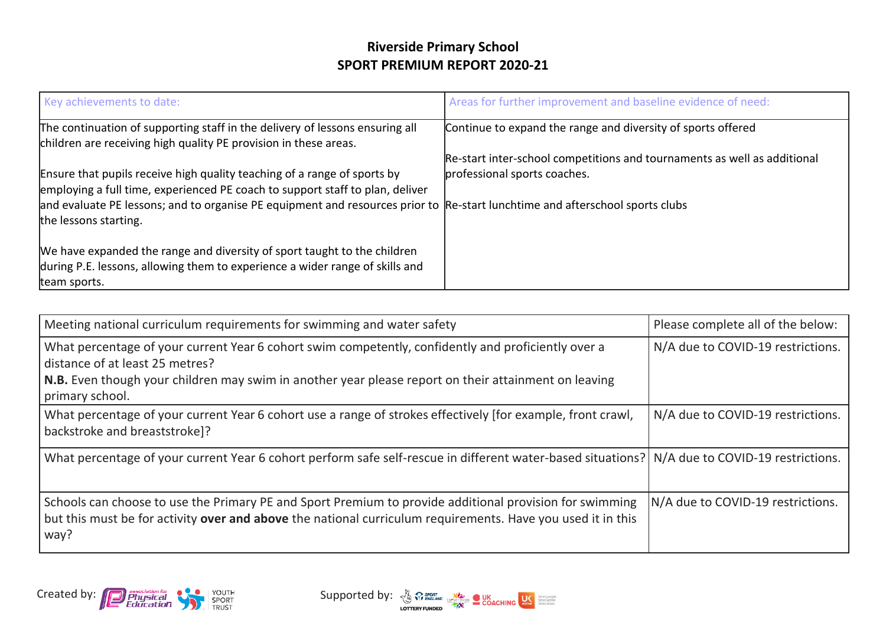| Key achievements to date:                                                                                                                                                                                                                                                                                          | Areas for further improvement and baseline evidence of need:             |
|--------------------------------------------------------------------------------------------------------------------------------------------------------------------------------------------------------------------------------------------------------------------------------------------------------------------|--------------------------------------------------------------------------|
| The continuation of supporting staff in the delivery of lessons ensuring all<br>children are receiving high quality PE provision in these areas.                                                                                                                                                                   | Continue to expand the range and diversity of sports offered             |
|                                                                                                                                                                                                                                                                                                                    | Re-start inter-school competitions and tournaments as well as additional |
| Ensure that pupils receive high quality teaching of a range of sports by<br>employing a full time, experienced PE coach to support staff to plan, deliver<br>and evaluate PE lessons; and to organise PE equipment and resources prior to Re-start lunchtime and afterschool sports clubs<br>the lessons starting. | professional sports coaches.                                             |
| We have expanded the range and diversity of sport taught to the children<br>during P.E. lessons, allowing them to experience a wider range of skills and<br>team sports.                                                                                                                                           |                                                                          |

| Meeting national curriculum requirements for swimming and water safety                                                                                                                                                                                            | Please complete all of the below: |
|-------------------------------------------------------------------------------------------------------------------------------------------------------------------------------------------------------------------------------------------------------------------|-----------------------------------|
| What percentage of your current Year 6 cohort swim competently, confidently and proficiently over a<br>distance of at least 25 metres?<br>N.B. Even though your children may swim in another year please report on their attainment on leaving<br>primary school. | N/A due to COVID-19 restrictions. |
| What percentage of your current Year 6 cohort use a range of strokes effectively [for example, front crawl,<br>backstroke and breaststroke]?                                                                                                                      | N/A due to COVID-19 restrictions. |
| What percentage of your current Year 6 cohort perform safe self-rescue in different water-based situations? N/A due to COVID-19 restrictions.                                                                                                                     |                                   |
| Schools can choose to use the Primary PE and Sport Premium to provide additional provision for swimming<br>but this must be for activity over and above the national curriculum requirements. Have you used it in this<br>way?                                    | N/A due to COVID-19 restrictions. |



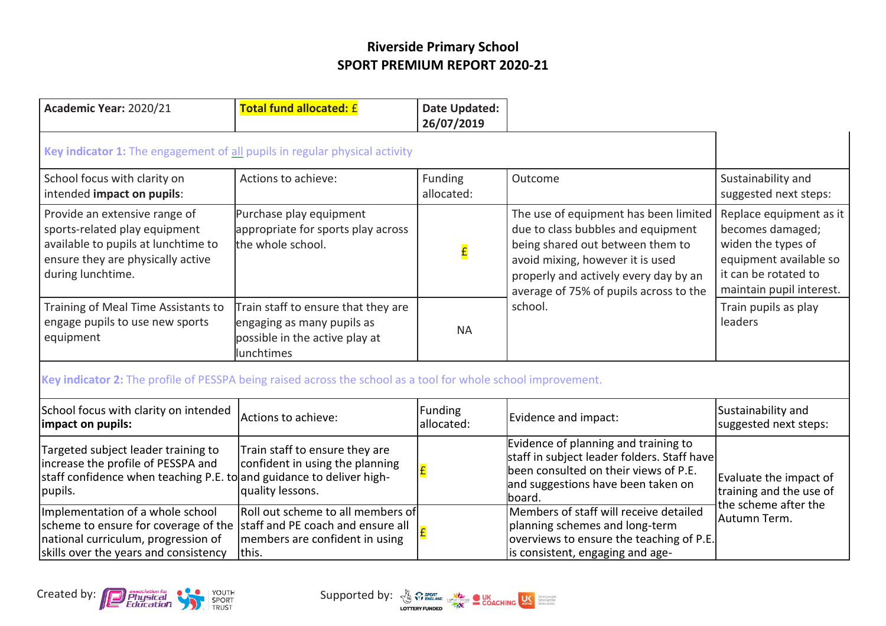| Academic Year: 2020/21                                                                                                                                          | <b>Total fund allocated: £</b>                                                                                     | Date Updated:<br>26/07/2019 |                                                                                                                                                                                                                                                   |                                                                                                                                                 |
|-----------------------------------------------------------------------------------------------------------------------------------------------------------------|--------------------------------------------------------------------------------------------------------------------|-----------------------------|---------------------------------------------------------------------------------------------------------------------------------------------------------------------------------------------------------------------------------------------------|-------------------------------------------------------------------------------------------------------------------------------------------------|
| Key indicator 1: The engagement of all pupils in regular physical activity                                                                                      |                                                                                                                    |                             |                                                                                                                                                                                                                                                   |                                                                                                                                                 |
| School focus with clarity on<br>intended impact on pupils:                                                                                                      | Actions to achieve:                                                                                                | Funding<br>allocated:       | Outcome                                                                                                                                                                                                                                           | Sustainability and<br>suggested next steps:                                                                                                     |
| Provide an extensive range of<br>sports-related play equipment<br>available to pupils at lunchtime to<br>ensure they are physically active<br>during lunchtime. | Purchase play equipment<br>appropriate for sports play across<br>the whole school.                                 | £                           | The use of equipment has been limited<br>due to class bubbles and equipment<br>being shared out between them to<br>avoid mixing, however it is used<br>properly and actively every day by an<br>average of 75% of pupils across to the<br>school. | Replace equipment as it<br>becomes damaged;<br>widen the types of<br>equipment available so<br>it can be rotated to<br>maintain pupil interest. |
| Training of Meal Time Assistants to<br>engage pupils to use new sports<br>equipment                                                                             | Train staff to ensure that they are<br>engaging as many pupils as<br>possible in the active play at<br>lunchtimes  | <b>NA</b>                   |                                                                                                                                                                                                                                                   | Train pupils as play<br>leaders                                                                                                                 |
| Key indicator 2: The profile of PESSPA being raised across the school as a tool for whole school improvement.                                                   |                                                                                                                    |                             |                                                                                                                                                                                                                                                   |                                                                                                                                                 |
| School focus with clarity on intended<br>impact on pupils:                                                                                                      | Actions to achieve:                                                                                                | Funding<br>allocated:       | Evidence and impact:                                                                                                                                                                                                                              | Sustainability and<br>suggested next steps:                                                                                                     |
| Targeted subject leader training to<br>increase the profile of PESSPA and<br>staff confidence when teaching P.E. to and guidance to deliver high-<br>pupils.    | Train staff to ensure they are<br>confident in using the planning<br>quality lessons.                              |                             | Evidence of planning and training to<br>staff in subject leader folders. Staff have<br>been consulted on their views of P.E.<br>and suggestions have been taken on<br>lboard.                                                                     | Evaluate the impact of<br>training and the use of<br>the scheme after the                                                                       |
| Implementation of a whole school<br>scheme to ensure for coverage of the<br>national curriculum, progression of<br>skills over the years and consistency        | Roll out scheme to all members of<br>staff and PE coach and ensure all<br>members are confident in using<br>lthis. |                             | Members of staff will receive detailed<br>planning schemes and long-term<br>overviews to ensure the teaching of P.E.<br>is consistent, engaging and age-                                                                                          | Autumn Term.                                                                                                                                    |

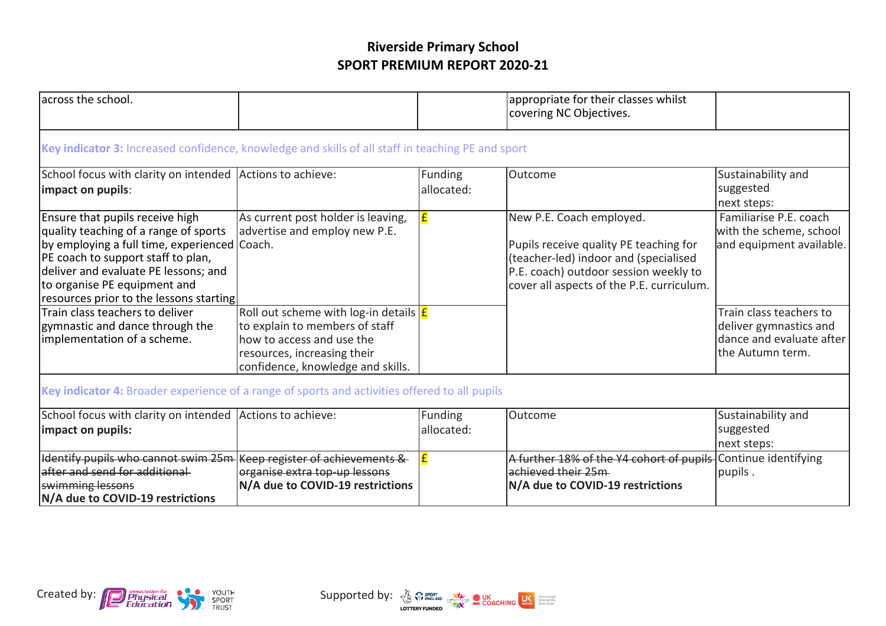| lacross the school.                                                                                                                                                                                                                                                               |                                                                                                                                                                            |                              | appropriate for their classes whilst<br>covering NC Objectives.                                                                                                                                   |                                                                                                   |  |
|-----------------------------------------------------------------------------------------------------------------------------------------------------------------------------------------------------------------------------------------------------------------------------------|----------------------------------------------------------------------------------------------------------------------------------------------------------------------------|------------------------------|---------------------------------------------------------------------------------------------------------------------------------------------------------------------------------------------------|---------------------------------------------------------------------------------------------------|--|
| Key indicator 3: Increased confidence, knowledge and skills of all staff in teaching PE and sport                                                                                                                                                                                 |                                                                                                                                                                            |                              |                                                                                                                                                                                                   |                                                                                                   |  |
| School focus with clarity on intended Actions to achieve:<br>impact on pupils:                                                                                                                                                                                                    |                                                                                                                                                                            | <b>Funding</b><br>allocated: | Outcome                                                                                                                                                                                           | Sustainability and<br>suggested<br>next steps:                                                    |  |
| Ensure that pupils receive high<br>quality teaching of a range of sports<br>by employing a full time, experienced Coach.<br>PE coach to support staff to plan,<br>deliver and evaluate PE lessons; and<br>to organise PE equipment and<br>resources prior to the lessons starting | As current post holder is leaving,<br>advertise and employ new P.E.                                                                                                        |                              | New P.E. Coach employed.<br>Pupils receive quality PE teaching for<br>(teacher-led) indoor and (specialised<br>P.E. coach) outdoor session weekly to<br>cover all aspects of the P.E. curriculum. | Familiarise P.E. coach<br>with the scheme, school<br>and equipment available.                     |  |
| Train class teachers to deliver<br>gymnastic and dance through the<br>implementation of a scheme.                                                                                                                                                                                 | Roll out scheme with log-in details $E$<br>to explain to members of staff<br>how to access and use the<br>resources, increasing their<br>confidence, knowledge and skills. |                              |                                                                                                                                                                                                   | Train class teachers to<br>deliver gymnastics and<br>dance and evaluate after<br>the Autumn term. |  |
|                                                                                                                                                                                                                                                                                   | Key indicator 4: Broader experience of a range of sports and activities offered to all pupils                                                                              |                              |                                                                                                                                                                                                   |                                                                                                   |  |
| School focus with clarity on intended Actions to achieve:<br>impact on pupils:                                                                                                                                                                                                    |                                                                                                                                                                            | Funding<br>allocated:        | Outcome                                                                                                                                                                                           | Sustainability and<br>suggested<br>next steps:                                                    |  |
| Identify pupils who cannot swim 25m<br>after and send for additional<br>swimming lessons<br>N/A due to COVID-19 restrictions                                                                                                                                                      | Keep register of achievements &<br>organise extra top up lessons<br>N/A due to COVID-19 restrictions                                                                       |                              | A further 18% of the Y4 cohort of pupils<br>achieved their 25m<br>N/A due to COVID-19 restrictions                                                                                                | Continue identifying<br>pupils.                                                                   |  |



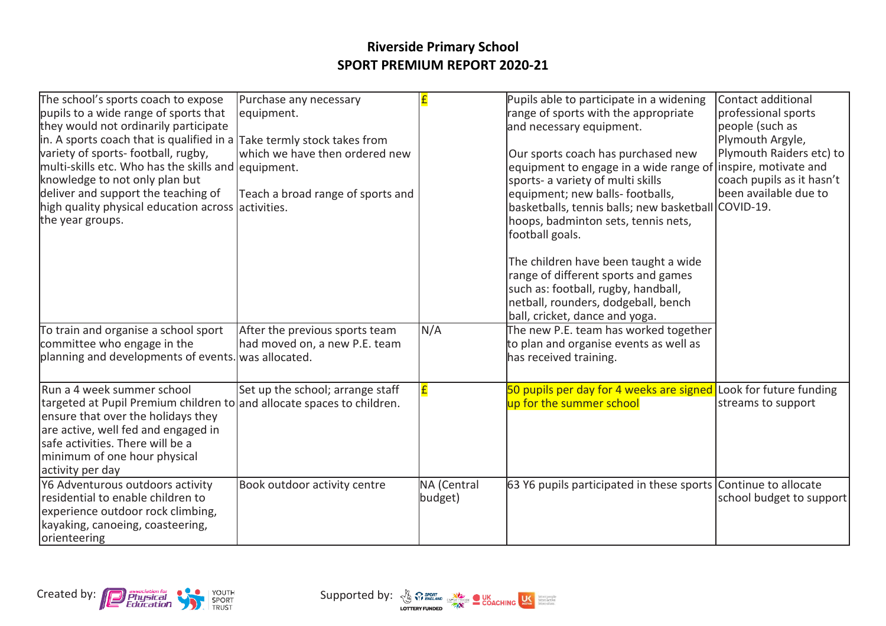| The school's sports coach to expose<br>pupils to a wide range of sports that<br>they would not ordinarily participate<br>in. A sports coach that is qualified in a $\vert$ Take termly stock takes from<br>variety of sports-football, rugby,<br>multi-skills etc. Who has the skills and equipment.<br>knowledge to not only plan but<br>deliver and support the teaching of<br>high quality physical education across activities.<br>the year groups. | Purchase any necessary<br>equipment.<br>which we have then ordered new<br>Teach a broad range of sports and |                        | Pupils able to participate in a widening<br>range of sports with the appropriate<br>and necessary equipment.<br>Our sports coach has purchased new<br>equipment to engage in a wide range of linspire, motivate and<br>sports- a variety of multi skills<br>equipment; new balls- footballs,<br>basketballs, tennis balls; new basketball COVID-19.<br>hoops, badminton sets, tennis nets,<br>football goals.<br>The children have been taught a wide<br>range of different sports and games<br>such as: football, rugby, handball,<br>netball, rounders, dodgeball, bench<br>ball, cricket, dance and yoga. | Contact additional<br>professional sports<br>people (such as<br>Plymouth Argyle,<br>Plymouth Raiders etc) to<br>coach pupils as it hasn't<br>been available due to |
|---------------------------------------------------------------------------------------------------------------------------------------------------------------------------------------------------------------------------------------------------------------------------------------------------------------------------------------------------------------------------------------------------------------------------------------------------------|-------------------------------------------------------------------------------------------------------------|------------------------|--------------------------------------------------------------------------------------------------------------------------------------------------------------------------------------------------------------------------------------------------------------------------------------------------------------------------------------------------------------------------------------------------------------------------------------------------------------------------------------------------------------------------------------------------------------------------------------------------------------|--------------------------------------------------------------------------------------------------------------------------------------------------------------------|
| To train and organise a school sport<br>committee who engage in the<br>planning and developments of events. was allocated.                                                                                                                                                                                                                                                                                                                              | After the previous sports team<br>had moved on, a new P.E. team                                             | N/A                    | The new P.E. team has worked together<br>to plan and organise events as well as<br>has received training.                                                                                                                                                                                                                                                                                                                                                                                                                                                                                                    |                                                                                                                                                                    |
| Run a 4 week summer school<br>targeted at Pupil Premium children to and allocate spaces to children.<br>ensure that over the holidays they<br>are active, well fed and engaged in<br>safe activities. There will be a<br>minimum of one hour physical<br>activity per day                                                                                                                                                                               | Set up the school; arrange staff                                                                            |                        | 50 pupils per day for 4 weeks are signed Look for future funding<br>up for the summer school                                                                                                                                                                                                                                                                                                                                                                                                                                                                                                                 | streams to support                                                                                                                                                 |
| Y6 Adventurous outdoors activity<br>residential to enable children to<br>experience outdoor rock climbing,<br>kayaking, canoeing, coasteering,<br>orienteering                                                                                                                                                                                                                                                                                          | Book outdoor activity centre                                                                                | NA (Central<br>budget) | 63 Y6 pupils participated in these sports Continue to allocate                                                                                                                                                                                                                                                                                                                                                                                                                                                                                                                                               | school budget to support                                                                                                                                           |

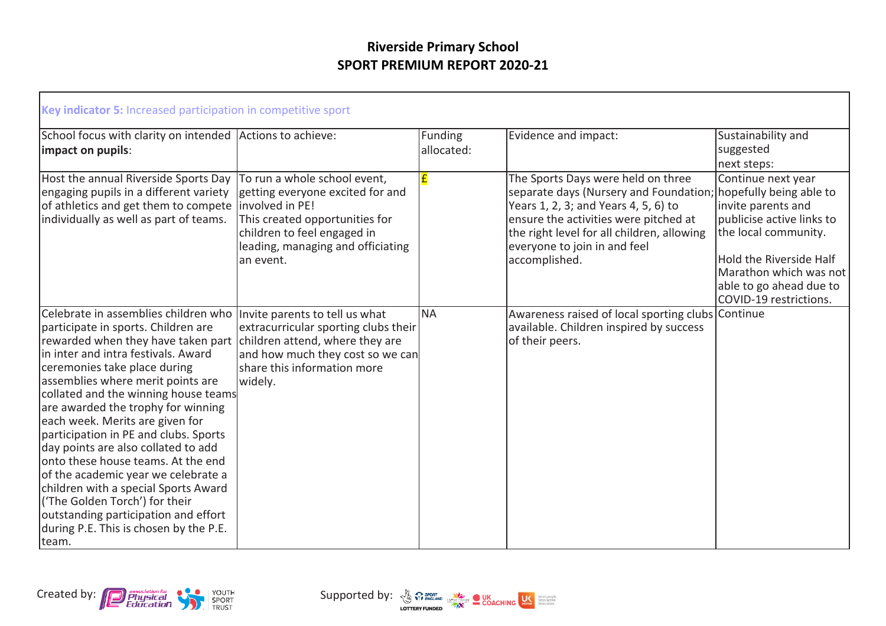| Key indicator 5: Increased participation in competitive sport                                                                                                                                                                                                                                                                                                                                                                                                                                                                                                                                                                                                                     |                                                                                                                                                                                                        |                       |                                                                                                                                                                                                                                                              |                                                                                                                                                                                                                                    |
|-----------------------------------------------------------------------------------------------------------------------------------------------------------------------------------------------------------------------------------------------------------------------------------------------------------------------------------------------------------------------------------------------------------------------------------------------------------------------------------------------------------------------------------------------------------------------------------------------------------------------------------------------------------------------------------|--------------------------------------------------------------------------------------------------------------------------------------------------------------------------------------------------------|-----------------------|--------------------------------------------------------------------------------------------------------------------------------------------------------------------------------------------------------------------------------------------------------------|------------------------------------------------------------------------------------------------------------------------------------------------------------------------------------------------------------------------------------|
| School focus with clarity on intended Actions to achieve:<br>impact on pupils:                                                                                                                                                                                                                                                                                                                                                                                                                                                                                                                                                                                                    |                                                                                                                                                                                                        | Funding<br>allocated: | Evidence and impact:                                                                                                                                                                                                                                         | Sustainability and<br>suggested<br>next steps:                                                                                                                                                                                     |
| Host the annual Riverside Sports Day<br>engaging pupils in a different variety<br>of athletics and get them to compete<br>individually as well as part of teams.                                                                                                                                                                                                                                                                                                                                                                                                                                                                                                                  | To run a whole school event,<br>getting everyone excited for and<br>involved in PE!<br>This created opportunities for<br>children to feel engaged in<br>leading, managing and officiating<br>an event. | £                     | The Sports Days were held on three<br>separate days (Nursery and Foundation;<br>Years 1, 2, 3; and Years 4, 5, 6) to<br>ensure the activities were pitched at<br>the right level for all children, allowing<br>everyone to join in and feel<br>accomplished. | Continue next year<br>hopefully being able to<br>invite parents and<br>publicise active links to<br>the local community.<br>Hold the Riverside Half<br>Marathon which was not<br>able to go ahead due to<br>COVID-19 restrictions. |
| Celebrate in assemblies children who<br>participate in sports. Children are<br>rewarded when they have taken part<br>lin inter and intra festivals. Award<br>ceremonies take place during<br>assemblies where merit points are<br>collated and the winning house teams<br>are awarded the trophy for winning<br>each week. Merits are given for<br>participation in PE and clubs. Sports<br>day points are also collated to add<br>onto these house teams. At the end<br>of the academic year we celebrate a<br>children with a special Sports Award<br>('The Golden Torch') for their<br>outstanding participation and effort<br>during P.E. This is chosen by the P.E.<br>team. | Invite parents to tell us what<br>extracurricular sporting clubs their<br>children attend, where they are<br>and how much they cost so we can<br>share this information more<br>widely.                | <b>NA</b>             | Awareness raised of local sporting clubs Continue<br>available. Children inspired by success<br>of their peers.                                                                                                                                              |                                                                                                                                                                                                                                    |